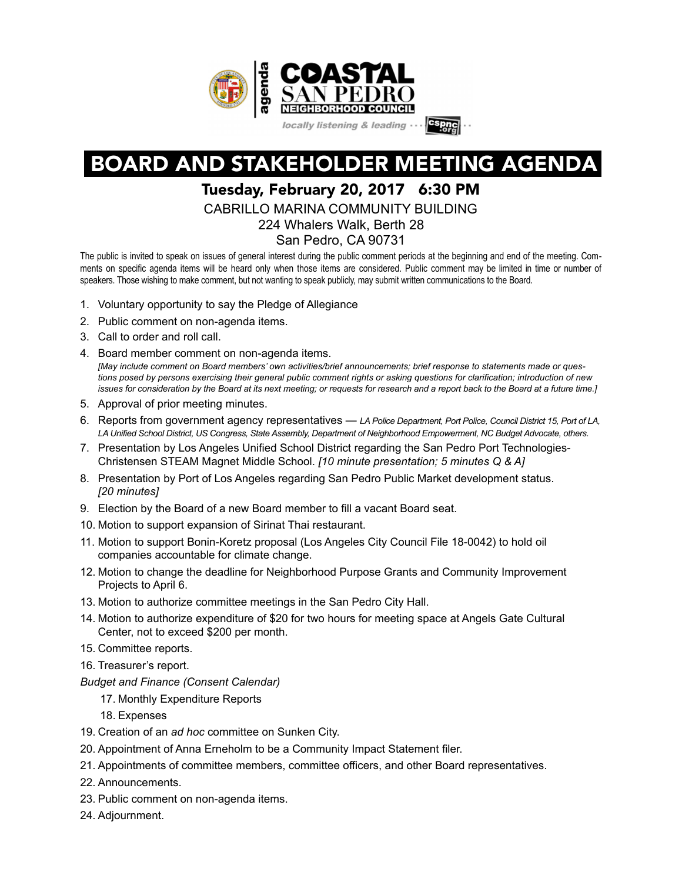

# BOARD AND STAKEHOLDER MEETING AGENDA

## Tuesday, February 20, 2017 6:30 PM

CABRILLO MARINA COMMUNITY BUILDING

224 Whalers Walk, Berth 28

San Pedro, CA 90731

The public is invited to speak on issues of general interest during the public comment periods at the beginning and end of the meeting. Comments on specific agenda items will be heard only when those items are considered. Public comment may be limited in time or number of speakers. Those wishing to make comment, but not wanting to speak publicly, may submit written communications to the Board.

- 1. Voluntary opportunity to say the Pledge of Allegiance
- 2. Public comment on non-agenda items.
- 3. Call to order and roll call.
- 4. Board member comment on non-agenda items. *[May include comment on Board members' own activities/brief announcements; brief response to statements made or questions posed by persons exercising their general public comment rights or asking questions for clarification; introduction of new issues for consideration by the Board at its next meeting; or requests for research and a report back to the Board at a future time.]*
- 5. Approval of prior meeting minutes.
- 6. Reports from government agency representatives *LA Police Department, Port Police, Council District 15, Port of LA, LA Unified School District, US Congress, State Assembly, Department of Neighborhood Empowerment, NC Budget Advocate, others.*
- 7. Presentation by Los Angeles Unified School District regarding the San Pedro Port Technologies-Christensen STEAM Magnet Middle School. *[10 minute presentation; 5 minutes Q & A]*
- 8. Presentation by Port of Los Angeles regarding San Pedro Public Market development status. *[20 minutes]*
- 9. Election by the Board of a new Board member to fill a vacant Board seat.
- 10. Motion to support expansion of Sirinat Thai restaurant.
- 11. Motion to support Bonin-Koretz proposal (Los Angeles City Council File 18-0042) to hold oil companies accountable for climate change.
- 12. Motion to change the deadline for Neighborhood Purpose Grants and Community Improvement Projects to April 6.
- 13. Motion to authorize committee meetings in the San Pedro City Hall.
- 14. Motion to authorize expenditure of \$20 for two hours for meeting space at Angels Gate Cultural Center, not to exceed \$200 per month.
- 15. Committee reports.
- 16. Treasurer's report.
- *Budget and Finance (Consent Calendar)* 
	- 17. Monthly Expenditure Reports
	- 18. Expenses
- 19. Creation of an *ad hoc* committee on Sunken City.
- 20. Appointment of Anna Erneholm to be a Community Impact Statement filer.
- 21. Appointments of committee members, committee officers, and other Board representatives.
- 22. Announcements.
- 23. Public comment on non-agenda items.
- 24. Adjournment.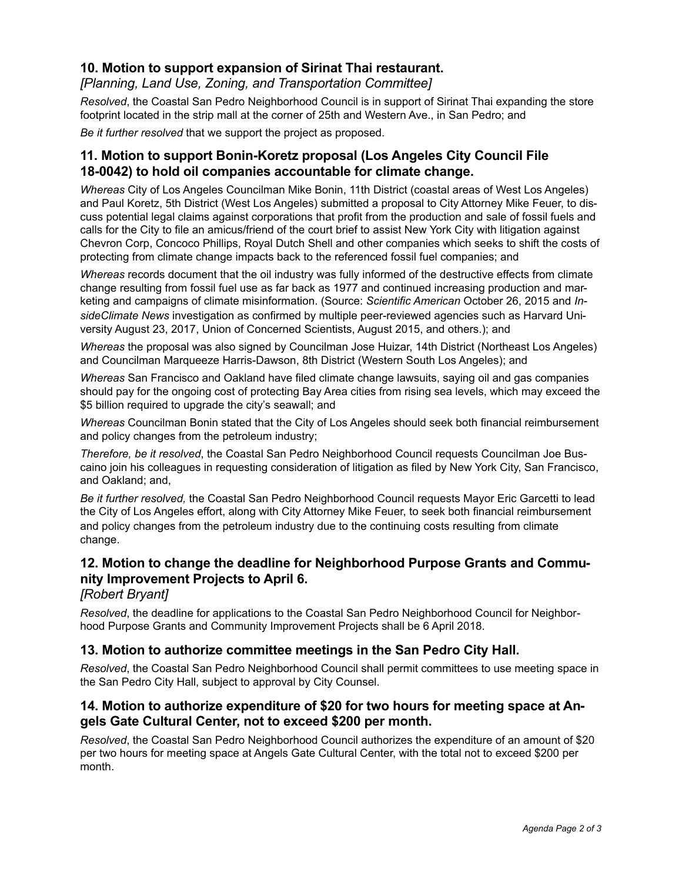### **10. Motion to support expansion of Sirinat Thai restaurant.**

*[Planning, Land Use, Zoning, and Transportation Committee]*

*Resolved*, the Coastal San Pedro Neighborhood Council is in support of Sirinat Thai expanding the store footprint located in the strip mall at the corner of 25th and Western Ave., in San Pedro; and

*Be it further resolved* that we support the project as proposed.

## **11. Motion to support Bonin-Koretz proposal (Los Angeles City Council File 18-0042) to hold oil companies accountable for climate change.**

*Whereas* City of Los Angeles Councilman Mike Bonin, 11th District (coastal areas of West Los Angeles) and Paul Koretz, 5th District (West Los Angeles) submitted a proposal to City Attorney Mike Feuer, to discuss potential legal claims against corporations that profit from the production and sale of fossil fuels and calls for the City to file an amicus/friend of the court brief to assist New York City with litigation against Chevron Corp, Concoco Phillips, Royal Dutch Shell and other companies which seeks to shift the costs of protecting from climate change impacts back to the referenced fossil fuel companies; and

*Whereas* records document that the oil industry was fully informed of the destructive effects from climate change resulting from fossil fuel use as far back as 1977 and continued increasing production and marketing and campaigns of climate misinformation. (Source: *Scientific American* October 26, 2015 and *InsideClimate News* investigation as confirmed by multiple peer-reviewed agencies such as Harvard University August 23, 2017, Union of Concerned Scientists, August 2015, and others.); and

*Whereas* the proposal was also signed by Councilman Jose Huizar, 14th District (Northeast Los Angeles) and Councilman Marqueeze Harris-Dawson, 8th District (Western South Los Angeles); and

*Whereas* San Francisco and Oakland have filed climate change lawsuits, saying oil and gas companies should pay for the ongoing cost of protecting Bay Area cities from rising sea levels, which may exceed the \$5 billion required to upgrade the city's seawall; and

*Whereas* Councilman Bonin stated that the City of Los Angeles should seek both financial reimbursement and policy changes from the petroleum industry;

*Therefore, be it resolved*, the Coastal San Pedro Neighborhood Council requests Councilman Joe Buscaino join his colleagues in requesting consideration of litigation as filed by New York City, San Francisco, and Oakland; and,

*Be it further resolved,* the Coastal San Pedro Neighborhood Council requests Mayor Eric Garcetti to lead the City of Los Angeles effort, along with City Attorney Mike Feuer, to seek both financial reimbursement and policy changes from the petroleum industry due to the continuing costs resulting from climate change.

## **12. Motion to change the deadline for Neighborhood Purpose Grants and Community Improvement Projects to April 6.**

#### *[Robert Bryant]*

*Resolved*, the deadline for applications to the Coastal San Pedro Neighborhood Council for Neighborhood Purpose Grants and Community Improvement Projects shall be 6 April 2018.

#### **13. Motion to authorize committee meetings in the San Pedro City Hall.**

*Resolved*, the Coastal San Pedro Neighborhood Council shall permit committees to use meeting space in the San Pedro City Hall, subject to approval by City Counsel.

#### **14. Motion to authorize expenditure of \$20 for two hours for meeting space at Angels Gate Cultural Center, not to exceed \$200 per month.**

*Resolved*, the Coastal San Pedro Neighborhood Council authorizes the expenditure of an amount of \$20 per two hours for meeting space at Angels Gate Cultural Center, with the total not to exceed \$200 per month.